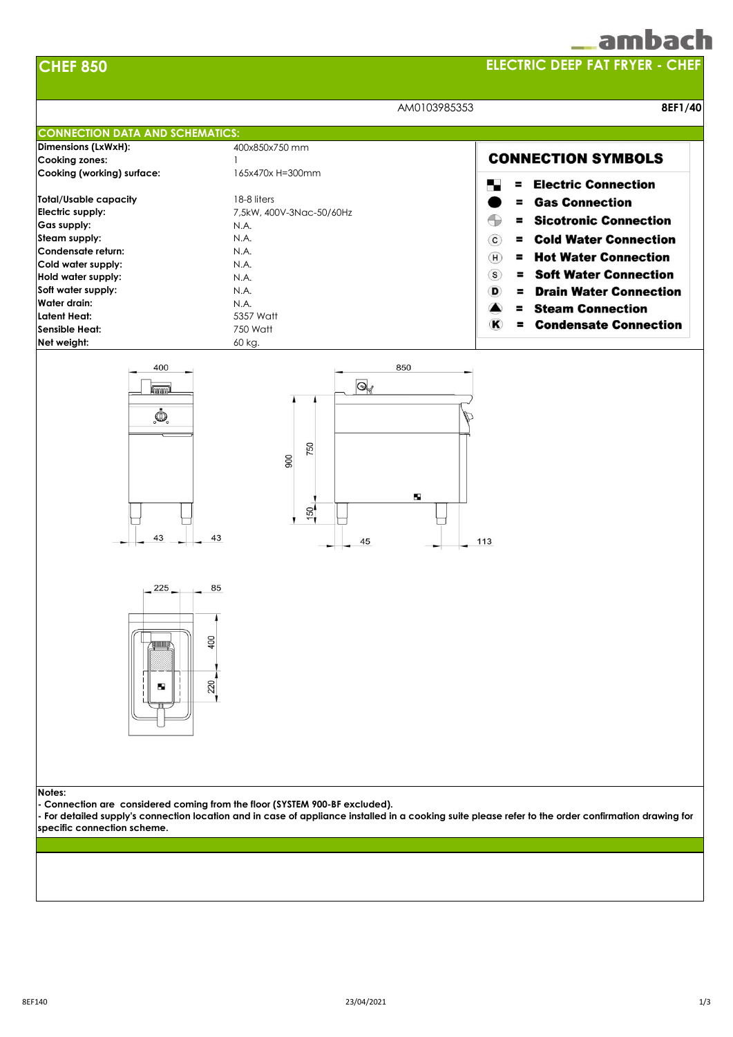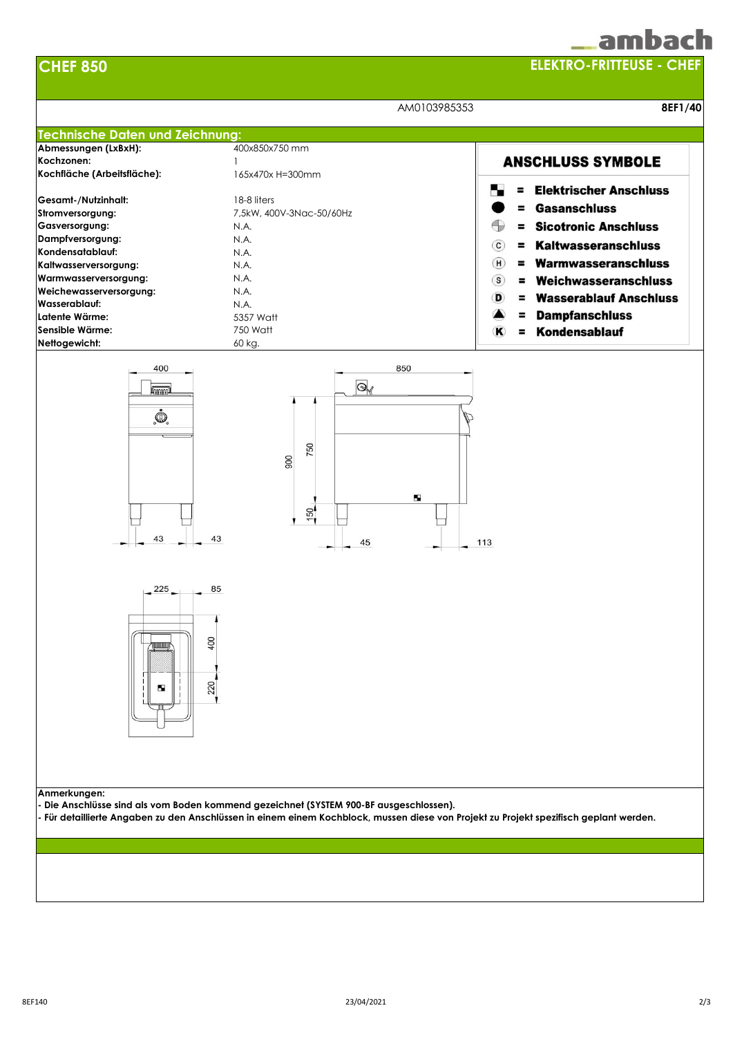